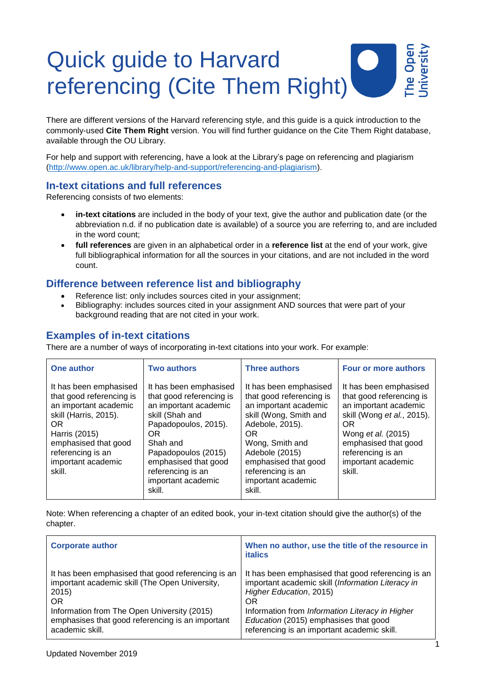# he Oper Quick guide to Harvard referencing (Cite Them Right)

There are different versions of the Harvard referencing style, and this guide is a quick introduction to the commonly-used **Cite Them Right** version. You will find further guidance on the Cite Them Right database, available through the OU Library.

For help and support with referencing, have a look at the Library's page on referencing and plagiarism [\(http://www.open.ac.uk/library/help-and-support/referencing-and-plagiarism\)](http://www.open.ac.uk/library/help-and-support/referencing-and-plagiarism).

# **In-text citations and full references**

Referencing consists of two elements:

- **in-text citations** are included in the body of your text, give the author and publication date (or the abbreviation n.d. if no publication date is available) of a source you are referring to, and are included in the word count;
- **full references** are given in an alphabetical order in a **reference list** at the end of your work, give full bibliographical information for all the sources in your citations, and are not included in the word count.

# **Difference between reference list and bibliography**

- Reference list: only includes sources cited in your assignment;
- Bibliography: includes sources cited in your assignment AND sources that were part of your background reading that are not cited in your work.

# **Examples of in-text citations**

There are a number of ways of incorporating in-text citations into your work. For example:

| One author                                                                                                                                                                                                | <b>Two authors</b>                                                                                                                                                                                                                           | <b>Three authors</b>                                                                                                                                                                                                                              | Four or more authors                                                                                                                                                                                                |
|-----------------------------------------------------------------------------------------------------------------------------------------------------------------------------------------------------------|----------------------------------------------------------------------------------------------------------------------------------------------------------------------------------------------------------------------------------------------|---------------------------------------------------------------------------------------------------------------------------------------------------------------------------------------------------------------------------------------------------|---------------------------------------------------------------------------------------------------------------------------------------------------------------------------------------------------------------------|
| It has been emphasised<br>that good referencing is<br>an important academic<br>skill (Harris, 2015).<br>OR.<br>Harris (2015)<br>emphasised that good<br>referencing is an<br>important academic<br>skill. | It has been emphasised<br>that good referencing is<br>an important academic<br>skill (Shah and<br>Papadopoulos, 2015).<br>OR<br>Shah and<br>Papadopoulos (2015)<br>emphasised that good<br>referencing is an<br>important academic<br>skill. | It has been emphasised<br>that good referencing is<br>an important academic<br>skill (Wong, Smith and<br>Adebole, 2015).<br>OR.<br>Wong, Smith and<br>Adebole (2015)<br>emphasised that good<br>referencing is an<br>important academic<br>skill. | It has been emphasised<br>that good referencing is<br>an important academic<br>skill (Wong et al., 2015).<br>OR.<br>Wong et al. (2015)<br>emphasised that good<br>referencing is an<br>important academic<br>skill. |

Note: When referencing a chapter of an edited book, your in-text citation should give the author(s) of the chapter.

| <b>Corporate author</b>                            | When no author, use the title of the resource in<br><b>italics</b> |
|----------------------------------------------------|--------------------------------------------------------------------|
| It has been emphasised that good referencing is an | It has been emphasised that good referencing is an                 |
| important academic skill (The Open University,     | important academic skill (Information Literacy in                  |
| 2015                                               | Higher Education, 2015)                                            |
| OR.                                                | <b>OR</b>                                                          |
| Information from The Open University (2015)        | Information from Information Literacy in Higher                    |
| emphasises that good referencing is an important   | Education (2015) emphasises that good                              |
| academic skill.                                    | referencing is an important academic skill.                        |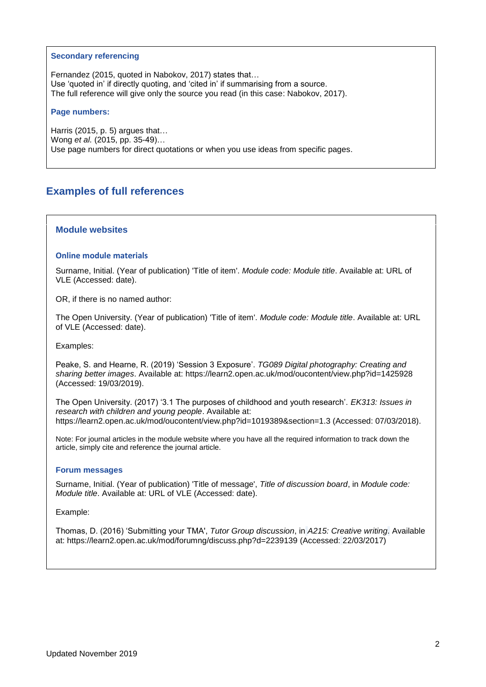#### **Secondary referencing**

Fernandez (2015, quoted in Nabokov, 2017) states that… Use 'quoted in' if directly quoting, and 'cited in' if summarising from a source. The full reference will give only the source you read (in this case: Nabokov, 2017).

#### **Page numbers:**

Harris (2015, p. 5) argues that… Wong *et al.* (2015, pp. 35-49)… Use page numbers for direct quotations or when you use ideas from specific pages.

# **Examples of full references**

# **Module websites**

#### **Online module materials**

Surname, Initial. (Year of publication) 'Title of item'. *Module code: Module title*. Available at: URL of VLE (Accessed: date).

OR, if there is no named author:

The Open University. (Year of publication) 'Title of item'. *Module code: Module title*. Available at: URL of VLE (Accessed: date).

Examples:

Peake, S. and Hearne, R. (2019) 'Session 3 Exposure'. *TG089 Digital photography: Creating and sharing better images*. Available at:<https://learn2.open.ac.uk/mod/oucontent/view.php?id=1425928> (Accessed: 19/03/2019).

The Open University. (2017) '3.1 The purposes of childhood and youth research'. *EK313: Issues in research with children and young people*. Available at: https://learn2.open.ac.uk/mod/oucontent/view.php?id=1019389&section=1.3 (Accessed: 07/03/2018).

Note: For journal articles in the module website where you have all the required information to track down the article, simply cite and reference the journal article.

#### **Forum messages**

Surname, Initial. (Year of publication) 'Title of message', *Title of discussion board*, in *Module code: Module title*. Available at: URL of VLE (Accessed: date).

#### Example:

Thomas, D. (2016) 'Submitting your TMA', *Tutor Group discussion*, in *A215: Creative writing*. Available at:<https://learn2.open.ac.uk/mod/forumng/discuss.php?d=2239139> (Accessed: 22/03/2017)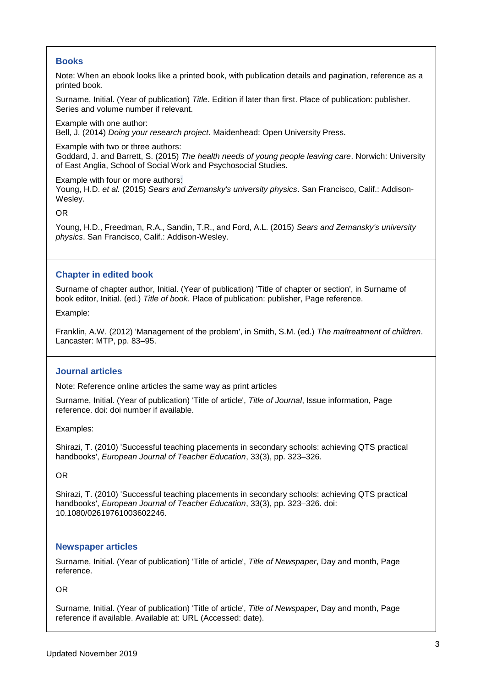# **Books**

Note: When an ebook looks like a printed book, with publication details and pagination, reference as a printed book.

Surname, Initial. (Year of publication) *Title*. Edition if later than first. Place of publication: publisher. Series and volume number if relevant.

Example with one author: Bell, J. (2014) *Doing your research project*. Maidenhead: Open University Press.

Example with two or three authors:

Goddard, J. and Barrett, S. (2015) *The health needs of young people leaving care*. Norwich: University of East Anglia, School of Social Work and Psychosocial Studies.

Example with four or more authors: Young, H.D. *et al.* (2015) *Sears and Zemansky's university physics*. San Francisco, Calif.: Addison-Wesley.

OR

Young, H.D., Freedman, R.A., Sandin, T.R., and Ford, A.L. (2015) *Sears and Zemansky's university physics*. San Francisco, Calif.: Addison-Wesley.

# **Chapter in edited book**

Surname of chapter author, Initial. (Year of publication) 'Title of chapter or section', in Surname of book editor, Initial. (ed.) *Title of book*. Place of publication: publisher, Page reference.

Example:

Franklin, A.W. (2012) 'Management of the problem', in Smith, S.M. (ed.) *The maltreatment of children*. Lancaster: MTP, pp. 83–95.

## **Journal articles**

Note: Reference online articles the same way as print articles

Surname, Initial. (Year of publication) 'Title of article', *Title of Journal*, Issue information, Page reference. doi: doi number if available.

Examples:

Shirazi, T. (2010) 'Successful teaching placements in secondary schools: achieving QTS practical handbooks', *European Journal of Teacher Education*, 33(3), pp. 323–326.

OR

Shirazi, T. (2010) 'Successful teaching placements in secondary schools: achieving QTS practical handbooks', *European Journal of Teacher Education*, 33(3), pp. 323–326. doi: 10.1080/02619761003602246.

## **Newspaper articles**

Surname, Initial. (Year of publication) 'Title of article', *Title of Newspaper*, Day and month, Page reference.

OR

Surname, Initial. (Year of publication) 'Title of article', *Title of Newspaper*, Day and month, Page reference if available. Available at: URL (Accessed: date).